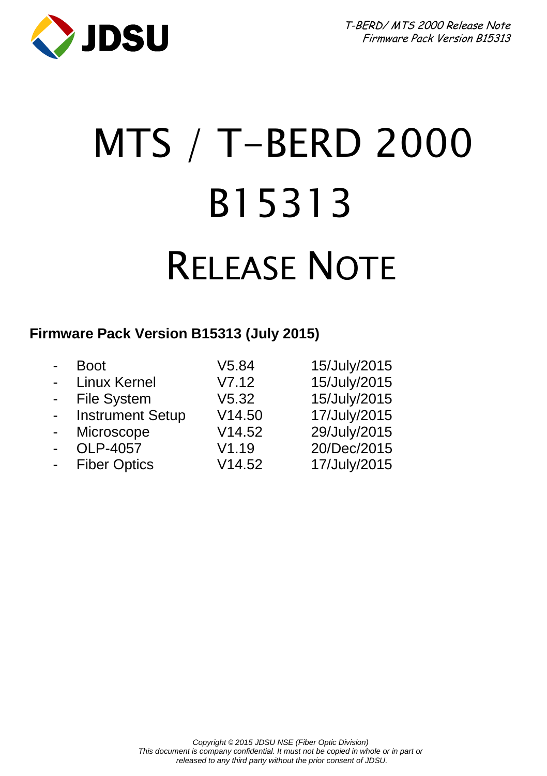

# MTS / T-BERD 2000 B15313 RELEASE NOTE

#### **Firmware Pack Version B15313 (July 2015)**

| $\blacksquare$            | Boot                    | V5.84  | 15/July/2015 |
|---------------------------|-------------------------|--------|--------------|
| $\blacksquare$            | <b>Linux Kernel</b>     | V7.12  | 15/July/2015 |
| $\sim$                    | <b>File System</b>      | V5.32  | 15/July/2015 |
| $\mathbf{L}^{\text{max}}$ | <b>Instrument Setup</b> | V14.50 | 17/July/2015 |
| $\blacksquare$            | Microscope              | V14.52 | 29/July/2015 |
| $\blacksquare$            | OLP-4057                | V1.19  | 20/Dec/2015  |
| $\blacksquare$            | <b>Fiber Optics</b>     | V14.52 | 17/July/2015 |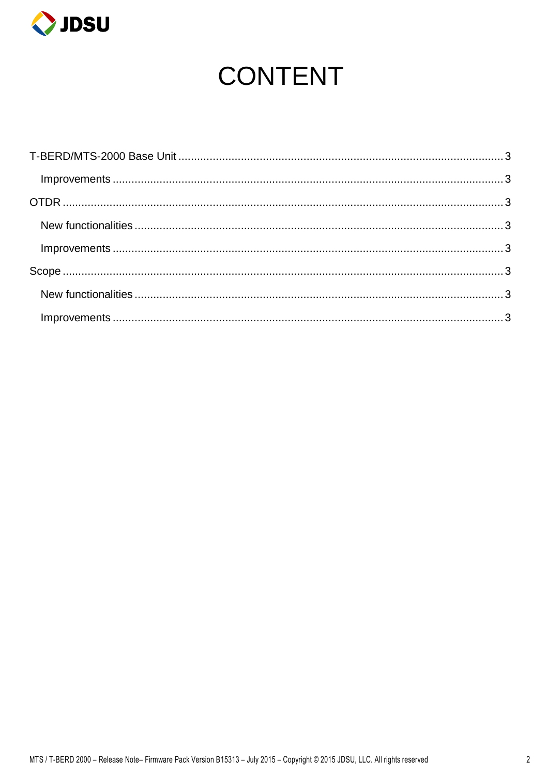

# **CONTENT**